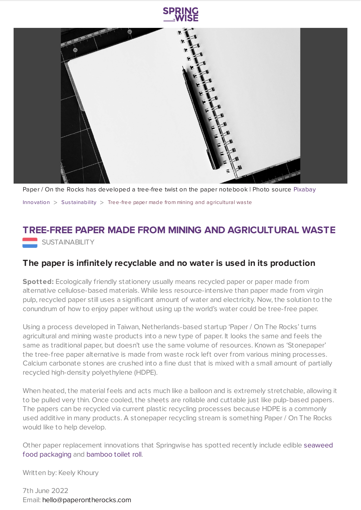

Paper / On the Rocks has developed a tree-free twist on the paper notebook | Photo source [Pixabay](https://pixabay.com/photos/notebook-pen-table-blank-desk-1587527/) [Innovation](https://www.springwise.com/search?type=innovation)  $>$  Sus[tainability](https://www.springwise.com/search?type=innovation§or=sustainability)  $>$  Tree-free paper made from mining and agricultural was te

## **TREE-FREE PAPER MADE FROM MINING AND AGRICULTURAL WASTE** SUSTAINABILITY

## **The paper is infinitely recyclable and no water is used in its production**

**Spotted:** Ecologically friendly stationery usually means recycled paper or paper made from alternative cellulose-based materials. While less resource-intensive than paper made from virgin pulp, recycled paper still uses a significant amount of water and electricity. Now, the solution to the conundrum of how to enjoy paper without using up the world's water could be tree-free paper.

Using a process developed in Taiwan, Netherlands-based startup 'Paper / On The Rocks' turns agricultural and mining waste products into a new type of paper. It looks the same and feels the same as traditional paper, but doesn't use the same volume of resources. Known as 'Stonepaper' the tree-free paper alternative is made from waste rock left over from various mining processes. Calcium carbonate stones are crushed into a fine dust that is mixed with a small amount of partially recycled high-density polyethylene (HDPE).

When heated, the material feels and acts much like a balloon and is extremely stretchable, allowing it to be pulled very thin. Once cooled, the sheets are rollable and cuttable just like pulp-based papers. The papers can be recycled via current plastic recycling processes because HDPE is a commonly used additive in many products. A stonepaper recycling stream is something Paper / On The Rocks would like to help develop.

Other paper [replacement](https://www.springwise.com/innovation/retail/edible-packaging-algae-notpla) innovations that Springwise has spotted recently include edible seaweed food packaging and [bamboo](https://www.springwise.com/innovation/retail/bamboo-based-toilet-roll) toilet roll.

Written by: Keely Khoury

7th June 2022 Email: [hello@paperontherocks.com](mailto:hello@paperontherocks.com)